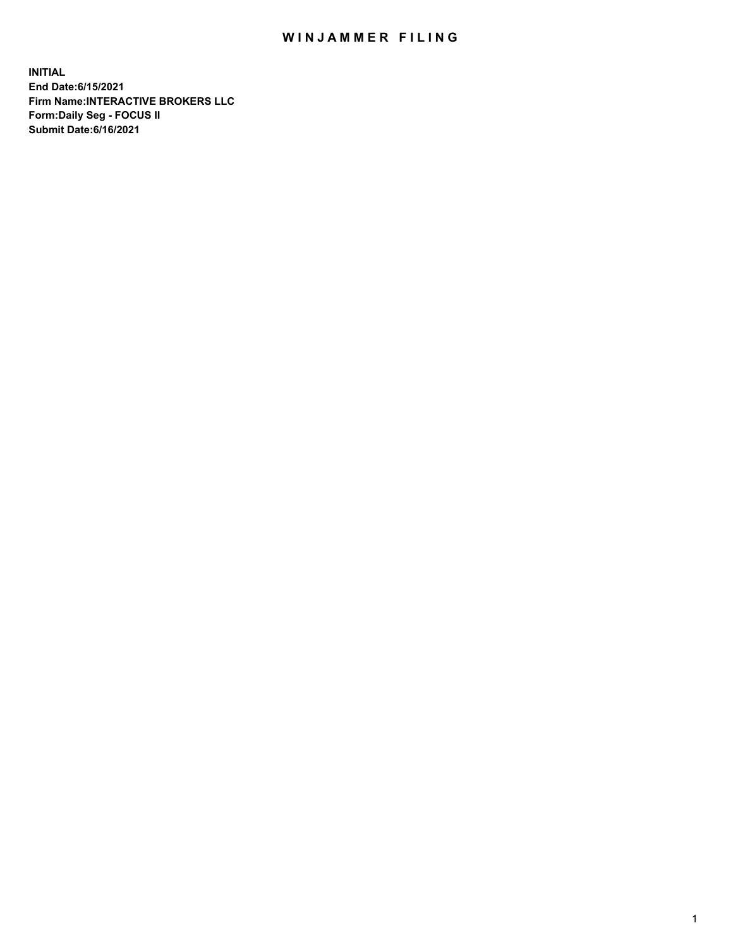## WIN JAMMER FILING

**INITIAL End Date:6/15/2021 Firm Name:INTERACTIVE BROKERS LLC Form:Daily Seg - FOCUS II Submit Date:6/16/2021**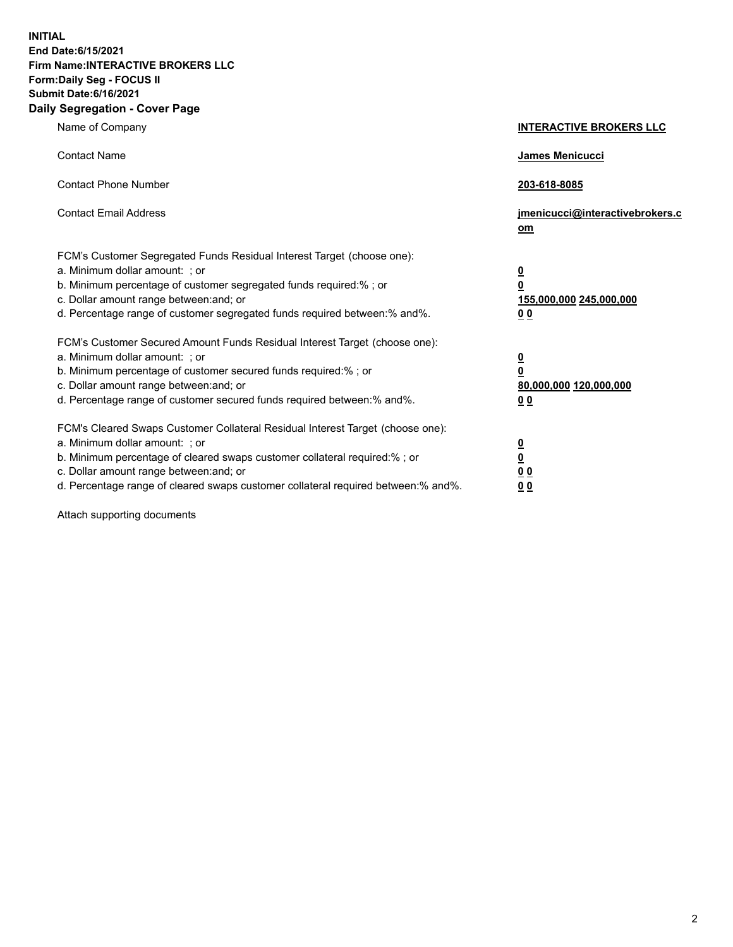**INITIAL End Date:6/15/2021 Firm Name:INTERACTIVE BROKERS LLC Form:Daily Seg - FOCUS II Submit Date:6/16/2021 Daily Segregation - Cover Page**

| Name of Company                                                                                                                                                                                                                                                                                                                | <b>INTERACTIVE BROKERS LLC</b>                                                                  |
|--------------------------------------------------------------------------------------------------------------------------------------------------------------------------------------------------------------------------------------------------------------------------------------------------------------------------------|-------------------------------------------------------------------------------------------------|
| <b>Contact Name</b>                                                                                                                                                                                                                                                                                                            | James Menicucci                                                                                 |
| <b>Contact Phone Number</b>                                                                                                                                                                                                                                                                                                    | 203-618-8085                                                                                    |
| <b>Contact Email Address</b>                                                                                                                                                                                                                                                                                                   | jmenicucci@interactivebrokers.c<br>$om$                                                         |
| FCM's Customer Segregated Funds Residual Interest Target (choose one):<br>a. Minimum dollar amount: ; or<br>b. Minimum percentage of customer segregated funds required:% ; or<br>c. Dollar amount range between: and; or<br>d. Percentage range of customer segregated funds required between:% and%.                         | $\overline{\mathbf{0}}$<br>$\overline{\mathbf{0}}$<br>155,000,000 245,000,000<br>0 <sub>0</sub> |
| FCM's Customer Secured Amount Funds Residual Interest Target (choose one):<br>a. Minimum dollar amount: ; or<br>b. Minimum percentage of customer secured funds required:%; or<br>c. Dollar amount range between: and; or<br>d. Percentage range of customer secured funds required between:% and%.                            | $\overline{\mathbf{0}}$<br>$\overline{\mathbf{0}}$<br>80,000,000 120,000,000<br>0 <sub>0</sub>  |
| FCM's Cleared Swaps Customer Collateral Residual Interest Target (choose one):<br>a. Minimum dollar amount: ; or<br>b. Minimum percentage of cleared swaps customer collateral required:% ; or<br>c. Dollar amount range between: and; or<br>d. Percentage range of cleared swaps customer collateral required between:% and%. | $\overline{\mathbf{0}}$<br><u>0</u><br>0 <sub>0</sub><br>0 <sub>0</sub>                         |

Attach supporting documents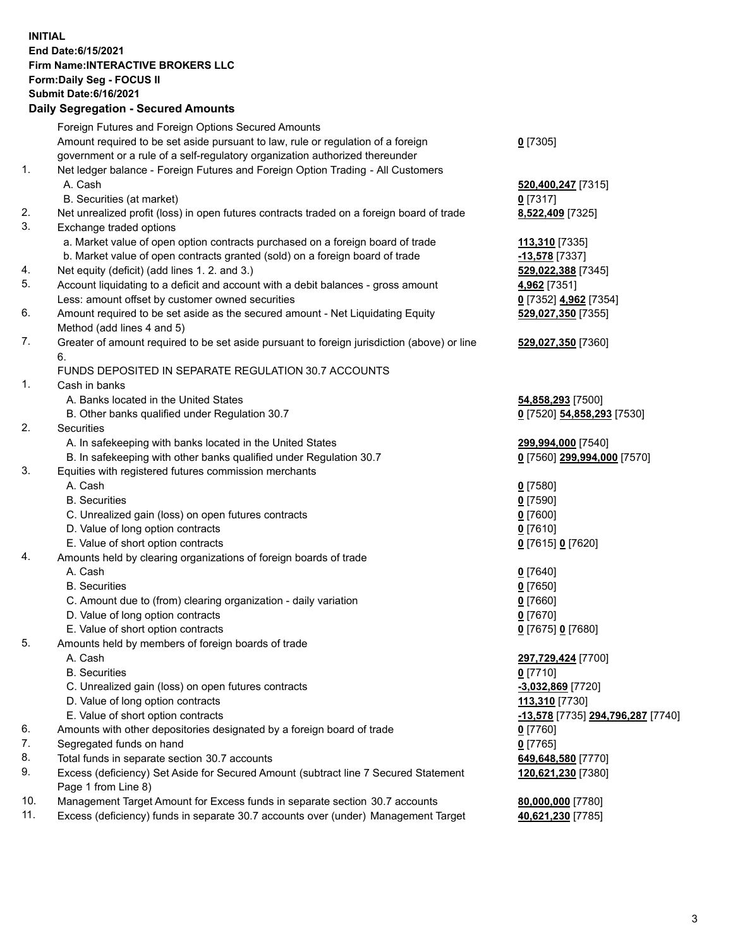## **INITIAL End Date:6/15/2021 Firm Name:INTERACTIVE BROKERS LLC Form:Daily Seg - FOCUS II Submit Date:6/16/2021 Daily Segregation - Secured Amounts**

|     | Daily Segregation - Secured Amounts                                                         |                                   |
|-----|---------------------------------------------------------------------------------------------|-----------------------------------|
|     | Foreign Futures and Foreign Options Secured Amounts                                         |                                   |
|     | Amount required to be set aside pursuant to law, rule or regulation of a foreign            | $0$ [7305]                        |
|     | government or a rule of a self-regulatory organization authorized thereunder                |                                   |
| 1.  | Net ledger balance - Foreign Futures and Foreign Option Trading - All Customers             |                                   |
|     | A. Cash                                                                                     | 520,400,247 [7315]                |
|     | B. Securities (at market)                                                                   | $0$ [7317]                        |
| 2.  | Net unrealized profit (loss) in open futures contracts traded on a foreign board of trade   | 8,522,409 [7325]                  |
| 3.  | Exchange traded options                                                                     |                                   |
|     | a. Market value of open option contracts purchased on a foreign board of trade              | 113,310 [7335]                    |
|     | b. Market value of open contracts granted (sold) on a foreign board of trade                | -13,578 [7337]                    |
| 4.  | Net equity (deficit) (add lines 1. 2. and 3.)                                               | 529,022,388 [7345]                |
| 5.  | Account liquidating to a deficit and account with a debit balances - gross amount           | 4,962 [7351]                      |
|     | Less: amount offset by customer owned securities                                            | 0 [7352] 4,962 [7354]             |
| 6.  | Amount required to be set aside as the secured amount - Net Liquidating Equity              | 529,027,350 [7355]                |
|     | Method (add lines 4 and 5)                                                                  |                                   |
| 7.  | Greater of amount required to be set aside pursuant to foreign jurisdiction (above) or line | 529,027,350 [7360]                |
|     | 6.                                                                                          |                                   |
|     | FUNDS DEPOSITED IN SEPARATE REGULATION 30.7 ACCOUNTS                                        |                                   |
| 1.  | Cash in banks                                                                               |                                   |
|     | A. Banks located in the United States                                                       | 54,858,293 [7500]                 |
|     | B. Other banks qualified under Regulation 30.7                                              | 0 [7520] 54,858,293 [7530]        |
| 2.  | Securities                                                                                  |                                   |
|     | A. In safekeeping with banks located in the United States                                   | 299,994,000 [7540]                |
|     | B. In safekeeping with other banks qualified under Regulation 30.7                          | 0 [7560] 299,994,000 [7570]       |
| 3.  | Equities with registered futures commission merchants                                       |                                   |
|     | A. Cash                                                                                     | $0$ [7580]                        |
|     | <b>B.</b> Securities                                                                        | $0$ [7590]                        |
|     | C. Unrealized gain (loss) on open futures contracts                                         | $0$ [7600]                        |
|     | D. Value of long option contracts                                                           | $0$ [7610]                        |
|     | E. Value of short option contracts                                                          | 0 [7615] 0 [7620]                 |
| 4.  | Amounts held by clearing organizations of foreign boards of trade                           |                                   |
|     | A. Cash                                                                                     | $0$ [7640]                        |
|     | <b>B.</b> Securities                                                                        | $0$ [7650]                        |
|     | C. Amount due to (from) clearing organization - daily variation                             | $0$ [7660]                        |
|     | D. Value of long option contracts                                                           | $0$ [7670]                        |
|     | E. Value of short option contracts                                                          | 0 [7675] 0 [7680]                 |
| 5.  | Amounts held by members of foreign boards of trade                                          |                                   |
|     | A. Cash                                                                                     | 297,729,424 [7700]                |
|     | <b>B.</b> Securities                                                                        | $0$ [7710]                        |
|     | C. Unrealized gain (loss) on open futures contracts                                         | -3,032,869 [7720]                 |
|     | D. Value of long option contracts                                                           | 113,310 [7730]                    |
|     | E. Value of short option contracts                                                          | -13,578 [7735] 294,796,287 [7740] |
| 6.  | Amounts with other depositories designated by a foreign board of trade                      | $0$ [7760]                        |
| 7.  | Segregated funds on hand                                                                    | $0$ [7765]                        |
| 8.  | Total funds in separate section 30.7 accounts                                               | 649,648,580 [7770]                |
| 9.  | Excess (deficiency) Set Aside for Secured Amount (subtract line 7 Secured Statement         | 120,621,230 [7380]                |
|     | Page 1 from Line 8)                                                                         |                                   |
| 10. | Management Target Amount for Excess funds in separate section 30.7 accounts                 | 80,000,000 [7780]                 |
| 11. | Excess (deficiency) funds in separate 30.7 accounts over (under) Management Target          | 40,621,230 [7785]                 |
|     |                                                                                             |                                   |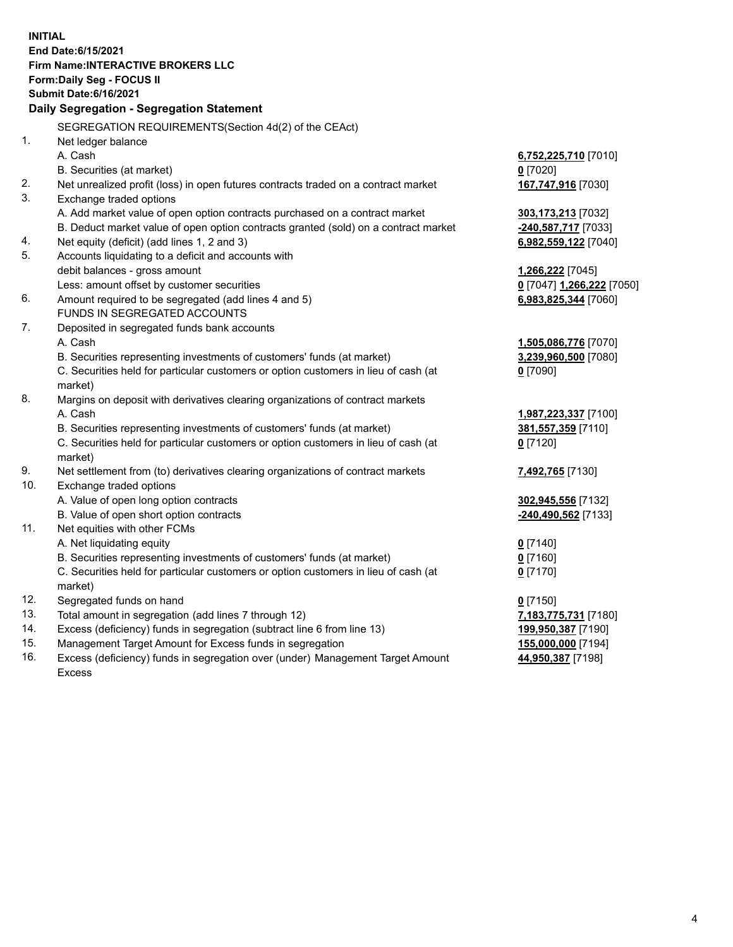**INITIAL End Date:6/15/2021 Firm Name:INTERACTIVE BROKERS LLC Form:Daily Seg - FOCUS II Submit Date:6/16/2021 Daily Segregation - Segregation Statement** SEGREGATION REQUIREMENTS(Section 4d(2) of the CEAct) 1. Net ledger balance A. Cash **6,752,225,710** [7010] B. Securities (at market) **0** [7020] 2. Net unrealized profit (loss) in open futures contracts traded on a contract market **167,747,916** [7030] 3. Exchange traded options A. Add market value of open option contracts purchased on a contract market **303,173,213** [7032] B. Deduct market value of open option contracts granted (sold) on a contract market **-240,587,717** [7033] 4. Net equity (deficit) (add lines 1, 2 and 3) **6,982,559,122** [7040] 5. Accounts liquidating to a deficit and accounts with debit balances - gross amount **1,266,222** [7045] Less: amount offset by customer securities **0** [7047] **1,266,222** [7050] 6. Amount required to be segregated (add lines 4 and 5) **6,983,825,344** [7060] FUNDS IN SEGREGATED ACCOUNTS 7. Deposited in segregated funds bank accounts A. Cash **1,505,086,776** [7070] B. Securities representing investments of customers' funds (at market) **3,239,960,500** [7080] C. Securities held for particular customers or option customers in lieu of cash (at market) **0** [7090] 8. Margins on deposit with derivatives clearing organizations of contract markets A. Cash **1,987,223,337** [7100] B. Securities representing investments of customers' funds (at market) **381,557,359** [7110] C. Securities held for particular customers or option customers in lieu of cash (at market) **0** [7120] 9. Net settlement from (to) derivatives clearing organizations of contract markets **7,492,765** [7130] 10. Exchange traded options A. Value of open long option contracts **302,945,556** [7132] B. Value of open short option contracts **-240,490,562** [7133] 11. Net equities with other FCMs A. Net liquidating equity **0** [7140] B. Securities representing investments of customers' funds (at market) **0** [7160] C. Securities held for particular customers or option customers in lieu of cash (at market) **0** [7170] 12. Segregated funds on hand **0** [7150] 13. Total amount in segregation (add lines 7 through 12) **7,183,775,731** [7180] 14. Excess (deficiency) funds in segregation (subtract line 6 from line 13) **199,950,387** [7190] 15. Management Target Amount for Excess funds in segregation **155,000,000** [7194]

16. Excess (deficiency) funds in segregation over (under) Management Target Amount Excess

**44,950,387** [7198]